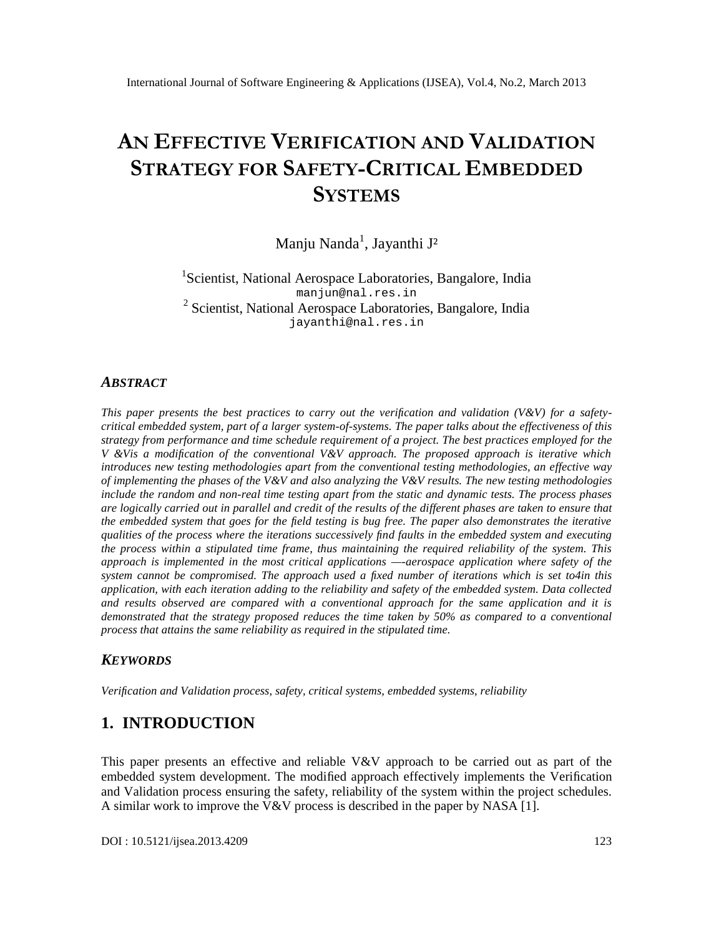# AN EFFECTIVE RIFICATION VAN DDATION STRATEGY FSORET-CRITICALIMBEDDED **S**YSTEMS

Manju Nanda, Jayanthi J<sup>2</sup>

#### <sup>1</sup>Scientist, National Aerospace Laboratories, Bangalore, India [manjun@nal.res.in](mailto:manjun@nal.res)  $2$  Scientist, National Aerospace LaboratoriBangalore, India [jayanthi@nal.res.in](mailto:jayanthi@nal.res)

### ABSTRACT

This paper presents the best practices to carry out  $\text{tr}(\mathbf{x})$  and validation (V&V) for a safety critical embedded system, part of a larger system systems. The paper talks about the etiveness of this strategy from performance and time schedule requirement of a project. The best practices employed for V &Vis a mod€cation of the conventional V&V approach. The proposed approach is iterative which introduces new testing methodologies apart from the conventional testing methodologies; tare evay of implementing the phases of the V&V and also analyzing the V&V results. The new testing methodologies include the random and nomeal time testing apart from the static and dynamic tests. The process phases are logically carried out in parallel and credit of the results of the edent phases are taken ensure that the embedded system that goes for  $\bigoplus$  testing is bug free. The paper also demonstrates the iterative qualities of the process where the iterations successively faults in the embedded system and executing the process within a stipuled time frame, thus maintaining the required reliability of the system. This approach is implemented in the most critical applications aerospace application where safety of the system cannot be compromised. The approach use the number of iterations hich is set to 4in this application, with each iteration adding to the reliability and safety of the embedded system. Data collected and results observed are compared with a conventional approach for the same application and it is demonstrated that therategy proposed reduces the time taken by 50% as compared to a conventional process that attains the same reliability as required in the stipulated time.

#### KEYWORDS

Veri€cation and Validation process, safety, critical systems, embedded systems, reliability

## 1. INTRODUCTION

This paper presents an fective and reliable V&V approach to be carried out as part of the embedded system development. The randia approach free tively implements the Verication and Validation process ensuring the safety, reliability of the system within the project schedules. A similar work to improve the V&V process is described in the paper by NASA [1].

DOI : 10.5121/ijsea.2013.4209 123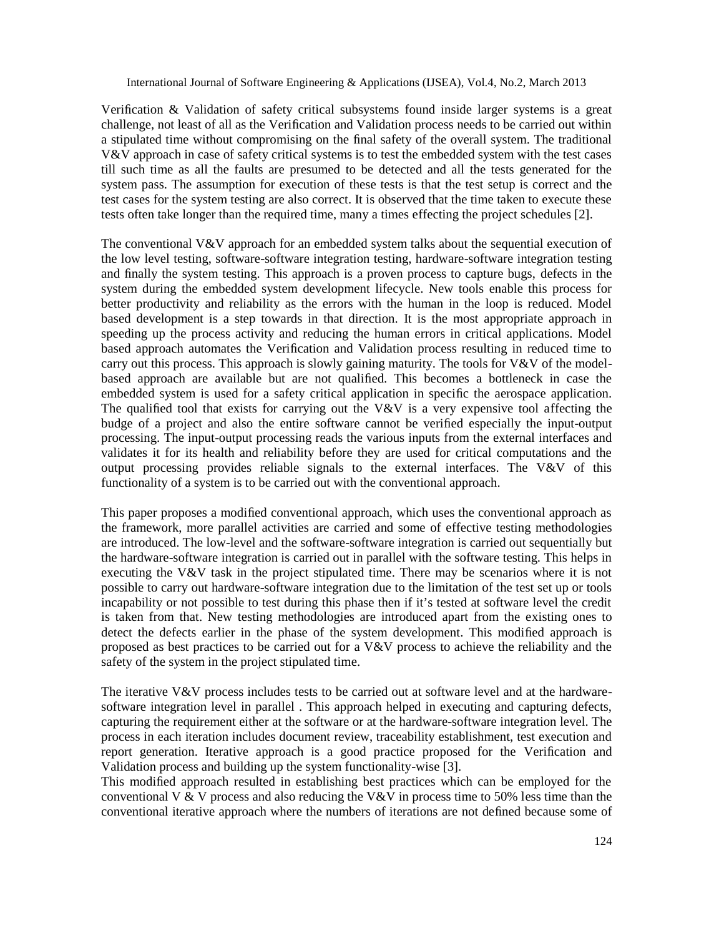Verification & Validation of safety critical subsystems found inside larger systems is a great challenge, not least of all as the Verification and Validation process needs to be carried out within a stipulated time without compromising on the final safety of the overall system. The traditional V&V approach in case of safety critical systems is to test the embedded system with the test cases till such time as all the faults are presumed to be detected and all the tests generated for the system pass. The assumption for execution of these tests is that the test setup is correct and the test cases for the system testing are also correct. It is observed that the time taken to execute these tests often take longer than the required time, many a times effecting the project schedules [2].

The conventional V&V approach for an embedded system talks about the sequential execution of the low level testing, software-software integration testing, hardware-software integration testing and finally the system testing. This approach is a proven process to capture bugs, defects in the system during the embedded system development lifecycle. New tools enable this process for better productivity and reliability as the errors with the human in the loop is reduced. Model based development is a step towards in that direction. It is the most appropriate approach in speeding up the process activity and reducing the human errors in critical applications. Model based approach automates the Verification and Validation process resulting in reduced time to carry out this process. This approach is slowly gaining maturity. The tools for V&V of the modelbased approach are available but are not qualified. This becomes a bottleneck in case the embedded system is used for a safety critical application in specific the aerospace application. The qualified tool that exists for carrying out the V&V is a very expensive tool affecting the budge of a project and also the entire software cannot be verified especially the input-output processing. The input-output processing reads the various inputs from the external interfaces and validates it for its health and reliability before they are used for critical computations and the output processing provides reliable signals to the external interfaces. The V&V of this functionality of a system is to be carried out with the conventional approach.

This paper proposes a modified conventional approach, which uses the conventional approach as the framework, more parallel activities are carried and some of effective testing methodologies are introduced. The low-level and the software-software integration is carried out sequentially but the hardware-software integration is carried out in parallel with the software testing. This helps in executing the V&V task in the project stipulated time. There may be scenarios where it is not possible to carry out hardware-software integration due to the limitation of the test set up or tools incapability or not possible to test during this phase then if it's tested at software level the credit is taken from that. New testing methodologies are introduced apart from the existing ones to detect the defects earlier in the phase of the system development. This modified approach is proposed as best practices to be carried out for a V&V process to achieve the reliability and the safety of the system in the project stipulated time.

The iterative  $V\&V$  process includes tests to be carried out at software level and at the hardwaresoftware integration level in parallel . This approach helped in executing and capturing defects, capturing the requirement either at the software or at the hardware-software integration level. The process in each iteration includes document review, traceability establishment, test execution and report generation. Iterative approach is a good practice proposed for the Verification and Validation process and building up the system functionality-wise [3].

This modified approach resulted in establishing best practices which can be employed for the conventional V  $&$  V process and also reducing the V $&$ V in process time to 50% less time than the conventional iterative approach where the numbers of iterations are not defined because some of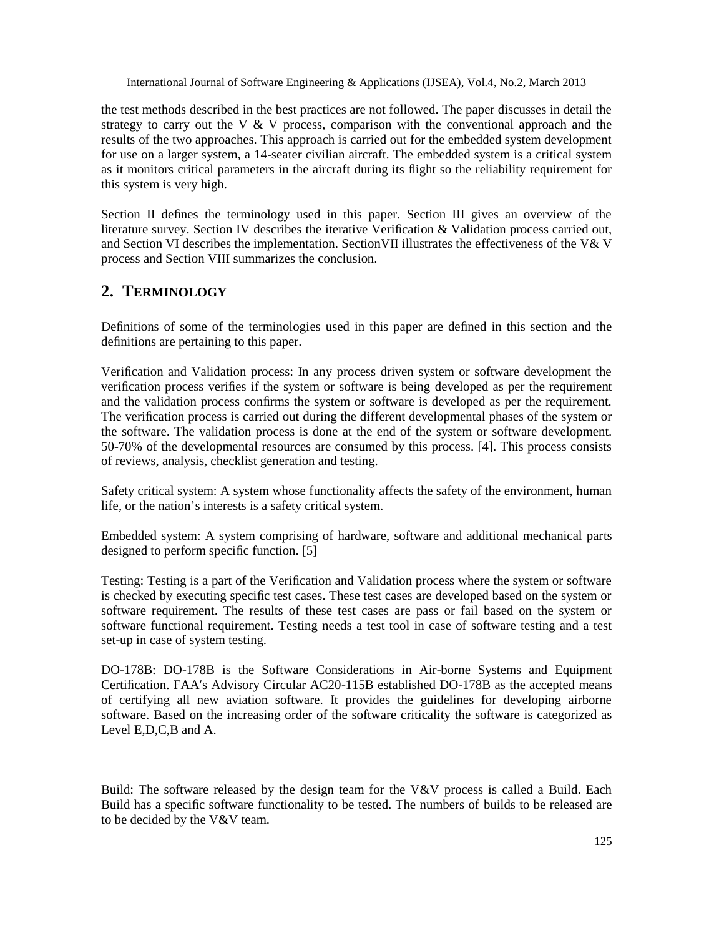the test methods described in the best practices are not followed. The paper discusses in detail the strategy to carry out the V & V process, comparison with the conventional approach and the results of the two approaches. This approach is carried out for the embedded system development for use on a larger system, a 14-seater civilian aircraft. The embedded system is a critical system as it monitors critical parameters in the aircraft during its flight so the reliability requirement for this system is very high.

Section II defines the terminology used in this paper. Section III gives an overview of the literature survey. Section IV describes the iterative Verification & Validation process carried out, and Section VI describes the implementation. SectionVII illustrates the effectiveness of the V& V process and Section VIII summarizes the conclusion.

### **2. TERMINOLOGY**

Definitions of some of the terminologies used in this paper are defined in this section and the definitions are pertaining to this paper.

Verification and Validation process: In any process driven system or software development the verification process verifies if the system or software is being developed as per the requirement and the validation process confirms the system or software is developed as per the requirement. The verification process is carried out during the different developmental phases of the system or the software. The validation process is done at the end of the system or software development. 50-70% of the developmental resources are consumed by this process. [4]. This process consists of reviews, analysis, checklist generation and testing.

Safety critical system: A system whose functionality affects the safety of the environment, human life, or the nation's interests is a safety critical system.

Embedded system: A system comprising of hardware, software and additional mechanical parts designed to perform specific function. [5]

Testing: Testing is a part of the Verification and Validation process where the system or software is checked by executing specific test cases. These test cases are developed based on the system or software requirement. The results of these test cases are pass or fail based on the system or software functional requirement. Testing needs a test tool in case of software testing and a test set-up in case of system testing.

DO-178B: DO-178B is the Software Considerations in Air-borne Systems and Equipment Certification. FAA′s Advisory Circular AC20-115B established DO-178B as the accepted means of certifying all new aviation software. It provides the guidelines for developing airborne software. Based on the increasing order of the software criticality the software is categorized as Level E,D,C,B and A.

Build: The software released by the design team for the V&V process is called a Build. Each Build has a specific software functionality to be tested. The numbers of builds to be released are to be decided by the V&V team.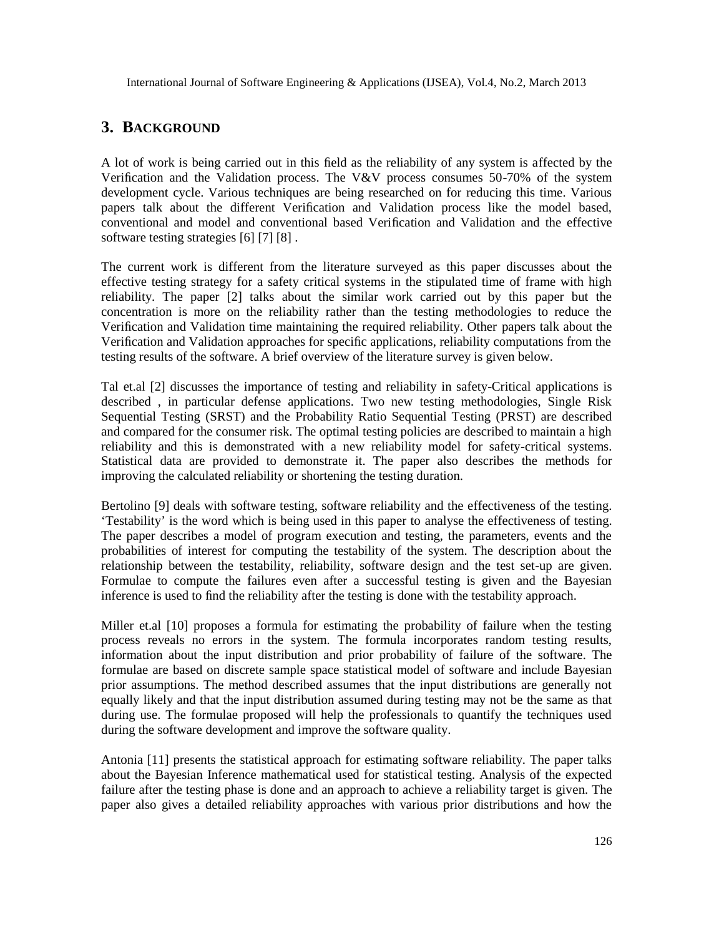#### **3. BACKGROUND**

A lot of work is being carried out in this field as the reliability of any system is affected by the Verification and the Validation process. The V&V process consumes 50-70% of the system development cycle. Various techniques are being researched on for reducing this time. Various papers talk about the different Verification and Validation process like the model based, conventional and model and conventional based Verification and Validation and the effective software testing strategies [6] [7] [8] .

The current work is different from the literature surveyed as this paper discusses about the effective testing strategy for a safety critical systems in the stipulated time of frame with high reliability. The paper [2] talks about the similar work carried out by this paper but the concentration is more on the reliability rather than the testing methodologies to reduce the Verification and Validation time maintaining the required reliability. Other papers talk about the Verification and Validation approaches for specific applications, reliability computations from the testing results of the software. A brief overview of the literature survey is given below.

Tal et.al [2] discusses the importance of testing and reliability in safety-Critical applications is described , in particular defense applications. Two new testing methodologies, Single Risk Sequential Testing (SRST) and the Probability Ratio Sequential Testing (PRST) are described and compared for the consumer risk. The optimal testing policies are described to maintain a high reliability and this is demonstrated with a new reliability model for safety-critical systems. Statistical data are provided to demonstrate it. The paper also describes the methods for improving the calculated reliability or shortening the testing duration.

Bertolino [9] deals with software testing, software reliability and the effectiveness of the testing. 'Testability' is the word which is being used in this paper to analyse the effectiveness of testing. The paper describes a model of program execution and testing, the parameters, events and the probabilities of interest for computing the testability of the system. The description about the relationship between the testability, reliability, software design and the test set-up are given. Formulae to compute the failures even after a successful testing is given and the Bayesian inference is used to find the reliability after the testing is done with the testability approach.

Miller et.al [10] proposes a formula for estimating the probability of failure when the testing process reveals no errors in the system. The formula incorporates random testing results, information about the input distribution and prior probability of failure of the software. The formulae are based on discrete sample space statistical model of software and include Bayesian prior assumptions. The method described assumes that the input distributions are generally not equally likely and that the input distribution assumed during testing may not be the same as that during use. The formulae proposed will help the professionals to quantify the techniques used during the software development and improve the software quality.

Antonia [11] presents the statistical approach for estimating software reliability. The paper talks about the Bayesian Inference mathematical used for statistical testing. Analysis of the expected failure after the testing phase is done and an approach to achieve a reliability target is given. The paper also gives a detailed reliability approaches with various prior distributions and how the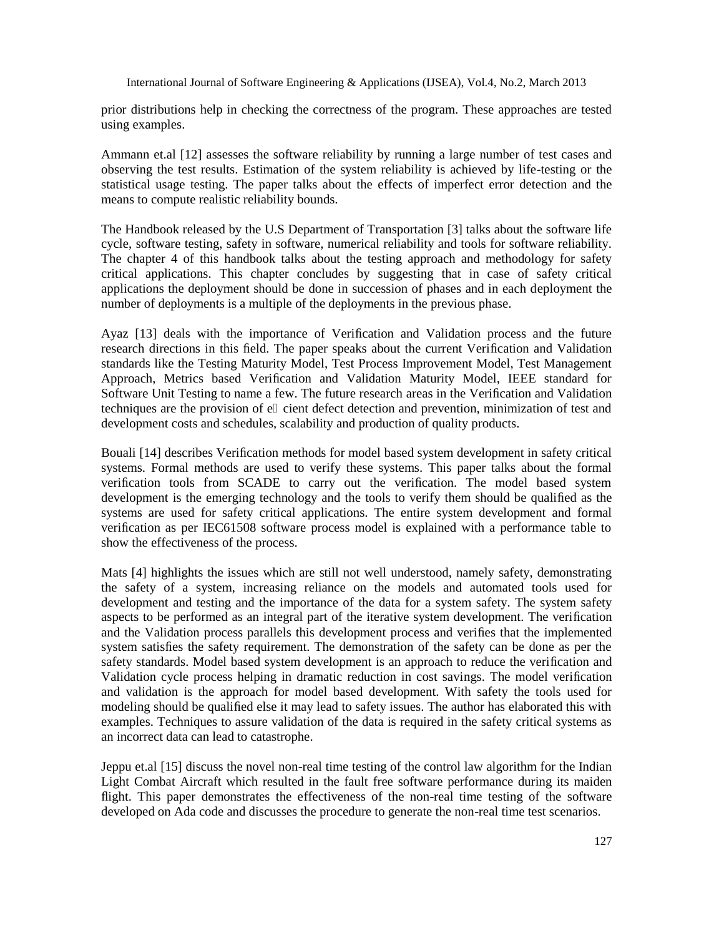prior distributions help in checking the correctness of the program. These approaches are tested using examples.

Ammann et.al [12] assesses the software reliability by running a large number of test cases and observing the test results. Estimation of the system reliability is achieved by life-testing or the statistical usage testing. The paper talks about the effects of imperfect error detection and the means to compute realistic reliability bounds.

The Handbook released by the U.S Department of Transportation [3] talks about the software life cycle, software testing, safety in software, numerical reliability and tools for software reliability. The chapter 4 of this handbook talks about the testing approach and methodology for safety critical applications. This chapter concludes by suggesting that in case of safety critical applications the deployment should be done in succession of phases and in each deployment the number of deployments is a multiple of the deployments in the previous phase.

Ayaz [13] deals with the importance of Verification and Validation process and the future research directions in this field. The paper speaks about the current Verification and Validation standards like the Testing Maturity Model, Test Process Improvement Model, Test Management Approach, Metrics based Verification and Validation Maturity Model, IEEE standard for Software Unit Testing to name a few. The future research areas in the Verification and Validation techniques are the provision of e cient defect detection and prevention, minimization of test and development costs and schedules, scalability and production of quality products.

Bouali [14] describes Verification methods for model based system development in safety critical systems. Formal methods are used to verify these systems. This paper talks about the formal verification tools from SCADE to carry out the verification. The model based system development is the emerging technology and the tools to verify them should be qualified as the systems are used for safety critical applications. The entire system development and formal verification as per IEC61508 software process model is explained with a performance table to show the effectiveness of the process.

Mats [4] highlights the issues which are still not well understood, namely safety, demonstrating the safety of a system, increasing reliance on the models and automated tools used for development and testing and the importance of the data for a system safety. The system safety aspects to be performed as an integral part of the iterative system development. The verification and the Validation process parallels this development process and verifies that the implemented system satisfies the safety requirement. The demonstration of the safety can be done as per the safety standards. Model based system development is an approach to reduce the verification and Validation cycle process helping in dramatic reduction in cost savings. The model verification and validation is the approach for model based development. With safety the tools used for modeling should be qualified else it may lead to safety issues. The author has elaborated this with examples. Techniques to assure validation of the data is required in the safety critical systems as an incorrect data can lead to catastrophe.

Jeppu et.al [15] discuss the novel non-real time testing of the control law algorithm for the Indian Light Combat Aircraft which resulted in the fault free software performance during its maiden flight. This paper demonstrates the effectiveness of the non-real time testing of the software developed on Ada code and discusses the procedure to generate the non-real time test scenarios.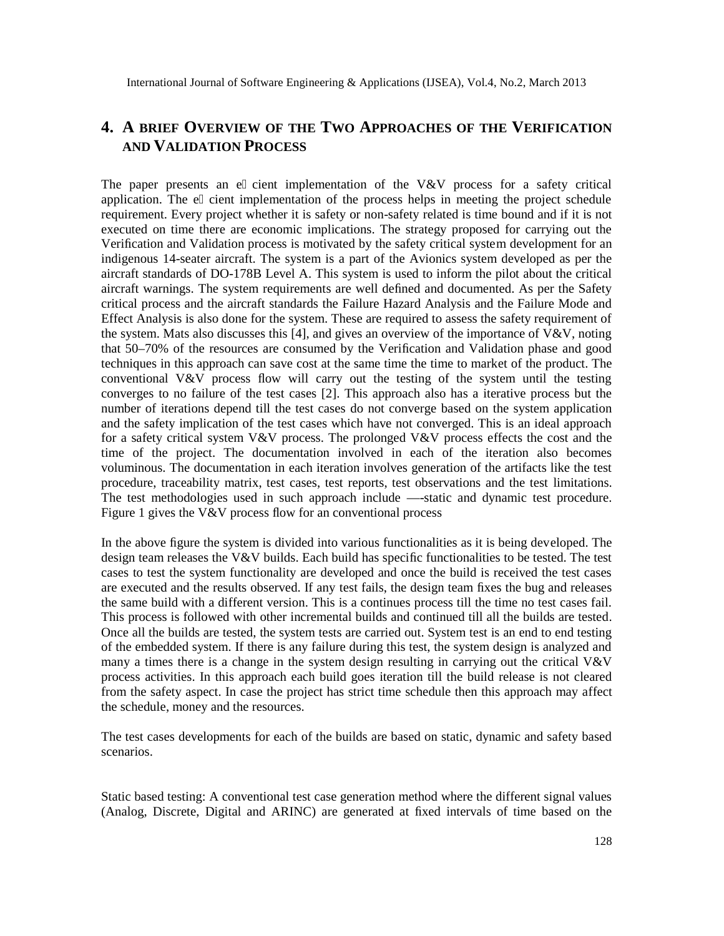#### **4. A BRIEF OVERVIEW OF THE TWO APPROACHES OF THE VERIFICATION AND VALIDATION PROCESS**

The paper presents an e cient implementation of the V&V process for a safety critical application. The  $e$  cient implementation of the process helps in meeting the project schedule requirement. Every project whether it is safety or non-safety related is time bound and if it is not executed on time there are economic implications. The strategy proposed for carrying out the Verification and Validation process is motivated by the safety critical system development for an indigenous 14-seater aircraft. The system is a part of the Avionics system developed as per the aircraft standards of DO-178B Level A. This system is used to inform the pilot about the critical aircraft warnings. The system requirements are well defined and documented. As per the Safety critical process and the aircraft standards the Failure Hazard Analysis and the Failure Mode and Effect Analysis is also done for the system. These are required to assess the safety requirement of the system. Mats also discusses this [4], and gives an overview of the importance of V&V, noting that 50–70% of the resources are consumed by the Verification and Validation phase and good techniques in this approach can save cost at the same time the time to market of the product. The conventional V&V process flow will carry out the testing of the system until the testing converges to no failure of the test cases [2]. This approach also has a iterative process but the number of iterations depend till the test cases do not converge based on the system application and the safety implication of the test cases which have not converged. This is an ideal approach for a safety critical system V&V process. The prolonged V&V process effects the cost and the time of the project. The documentation involved in each of the iteration also becomes voluminous. The documentation in each iteration involves generation of the artifacts like the test procedure, traceability matrix, test cases, test reports, test observations and the test limitations. The test methodologies used in such approach include —-static and dynamic test procedure. Figure 1 gives the V&V process flow for an conventional process

In the above figure the system is divided into various functionalities as it is being developed. The design team releases the V&V builds. Each build has specific functionalities to be tested. The test cases to test the system functionality are developed and once the build is received the test cases are executed and the results observed. If any test fails, the design team fixes the bug and releases the same build with a different version. This is a continues process till the time no test cases fail. This process is followed with other incremental builds and continued till all the builds are tested. Once all the builds are tested, the system tests are carried out. System test is an end to end testing of the embedded system. If there is any failure during this test, the system design is analyzed and many a times there is a change in the system design resulting in carrying out the critical V&V process activities. In this approach each build goes iteration till the build release is not cleared from the safety aspect. In case the project has strict time schedule then this approach may affect the schedule, money and the resources.

The test cases developments for each of the builds are based on static, dynamic and safety based scenarios.

Static based testing: A conventional test case generation method where the different signal values (Analog, Discrete, Digital and ARINC) are generated at fixed intervals of time based on the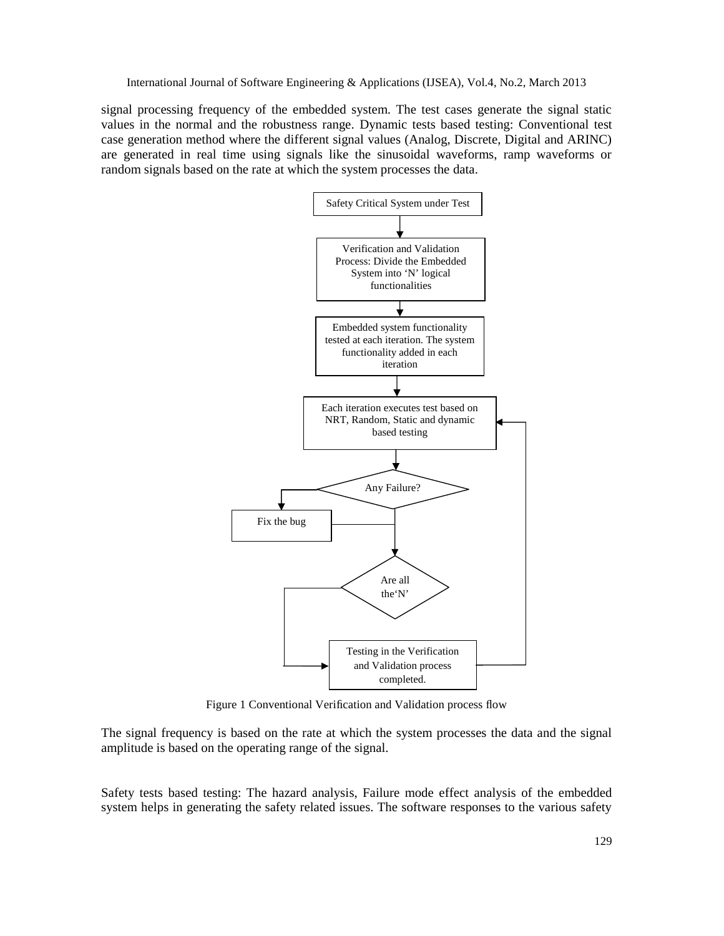signal processing frequency of the embedded system. The test cases generate the signal static values in the normal and the robustness range. Dynamic tests based testing: Conventional test case generation method where the different signal values (Analog, Discrete, Digital and ARINC) are generated in real time using signals like the sinusoidal waveforms, ramp waveforms or random signals based on the rate at which the system processes the data.



Figure 1 Conventional Verification and Validation process flow

The signal frequency is based on the rate at which the system processes the data and the signal amplitude is based on the operating range of the signal.

Safety tests based testing: The hazard analysis, Failure mode effect analysis of the embedded system helps in generating the safety related issues. The software responses to the various safety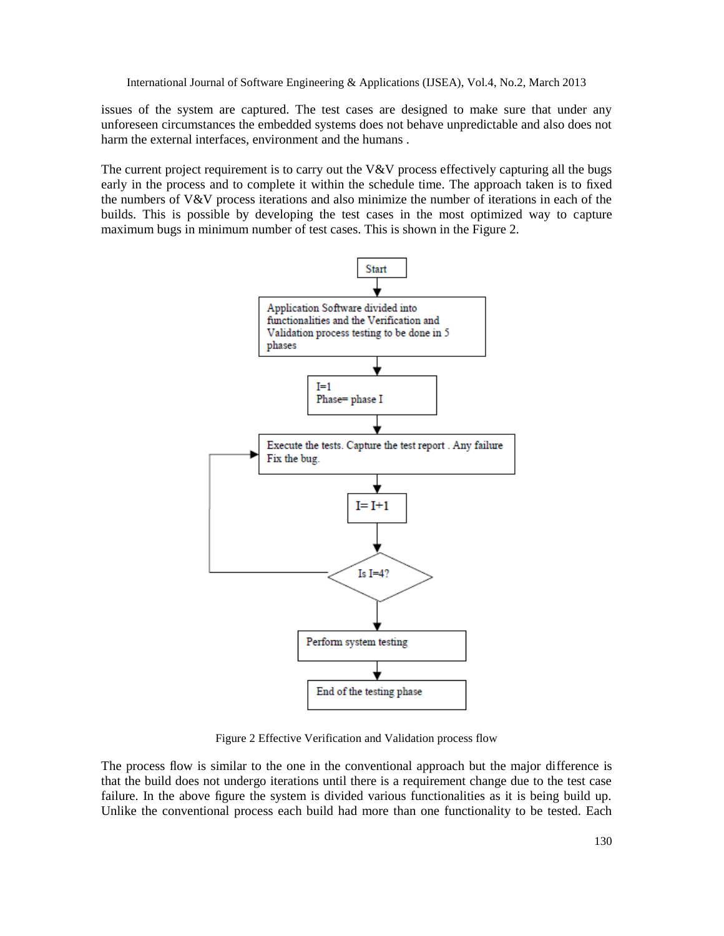issues of the system are captured. The test cases are designed to make sure that under any unforeseen circumstances the embedded systems does not behave unpredictable and also does not harm the external interfaces, environment and the humans .

The current project requirement is to carry out the  $V&V$  process effectively capturing all the bugs early in the process and to complete it within the schedule time. The approach taken is to fixed the numbers of  $V&V$  process iterations and also minimize the number of iterations in each of the builds. This is possible by developing the test cases in the most optimized way to capture maximum bugs in minimum number of test cases. This is shown in the Figure 2.



Figure 2 Effective Verification and Validation process flow

The process flow is similar to the one in the conventional approach but the major difference is that the build does not undergo iterations until there is a requirement change due to the test case failure. In the above figure the system is divided various functionalities as it is being build up. Unlike the conventional process each build had more than one functionality to be tested. Each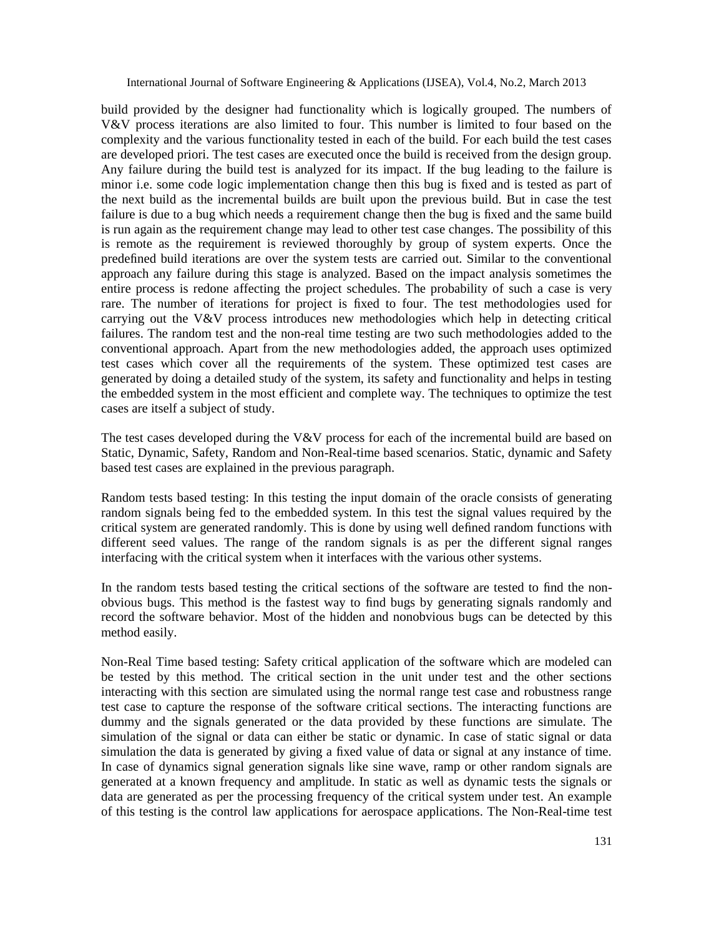build provided by the designer had functionality which is logically grouped. The numbers of V&V process iterations are also limited to four. This number is limited to four based on the complexity and the various functionality tested in each of the build. For each build the test cases are developed priori. The test cases are executed once the build is received from the design group. Any failure during the build test is analyzed for its impact. If the bug leading to the failure is minor i.e. some code logic implementation change then this bug is fixed and is tested as part of the next build as the incremental builds are built upon the previous build. But in case the test failure is due to a bug which needs a requirement change then the bug is fixed and the same build is run again as the requirement change may lead to other test case changes. The possibility of this is remote as the requirement is reviewed thoroughly by group of system experts. Once the predefined build iterations are over the system tests are carried out. Similar to the conventional approach any failure during this stage is analyzed. Based on the impact analysis sometimes the entire process is redone affecting the project schedules. The probability of such a case is very rare. The number of iterations for project is fixed to four. The test methodologies used for carrying out the V&V process introduces new methodologies which help in detecting critical failures. The random test and the non-real time testing are two such methodologies added to the conventional approach. Apart from the new methodologies added, the approach uses optimized test cases which cover all the requirements of the system. These optimized test cases are generated by doing a detailed study of the system, its safety and functionality and helps in testing the embedded system in the most efficient and complete way. The techniques to optimize the test cases are itself a subject of study.

The test cases developed during the V&V process for each of the incremental build are based on Static, Dynamic, Safety, Random and Non-Real-time based scenarios. Static, dynamic and Safety based test cases are explained in the previous paragraph.

Random tests based testing: In this testing the input domain of the oracle consists of generating random signals being fed to the embedded system. In this test the signal values required by the critical system are generated randomly. This is done by using well defined random functions with different seed values. The range of the random signals is as per the different signal ranges interfacing with the critical system when it interfaces with the various other systems.

In the random tests based testing the critical sections of the software are tested to find the nonobvious bugs. This method is the fastest way to find bugs by generating signals randomly and record the software behavior. Most of the hidden and nonobvious bugs can be detected by this method easily.

Non-Real Time based testing: Safety critical application of the software which are modeled can be tested by this method. The critical section in the unit under test and the other sections interacting with this section are simulated using the normal range test case and robustness range test case to capture the response of the software critical sections. The interacting functions are dummy and the signals generated or the data provided by these functions are simulate. The simulation of the signal or data can either be static or dynamic. In case of static signal or data simulation the data is generated by giving a fixed value of data or signal at any instance of time. In case of dynamics signal generation signals like sine wave, ramp or other random signals are generated at a known frequency and amplitude. In static as well as dynamic tests the signals or data are generated as per the processing frequency of the critical system under test. An example of this testing is the control law applications for aerospace applications. The Non-Real-time test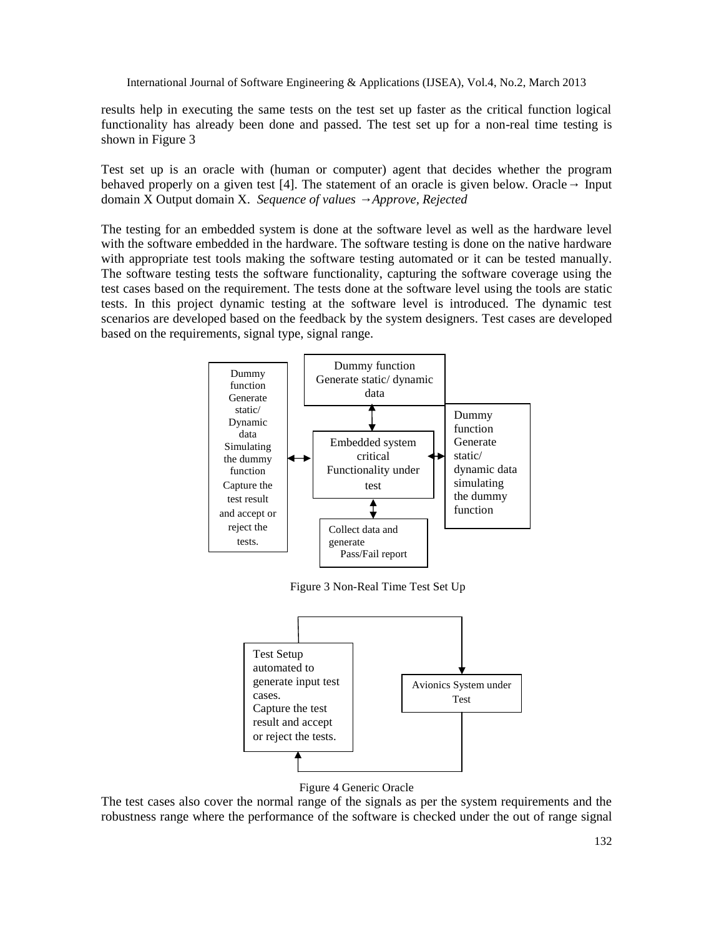results help in executing the same tests on the test set up faster as the critical function logical functionality has already been done and passed. The test set up for a non-real time testing is shown in Figure 3

Test set up is an oracle with (human or computer) agent that decides whether the program behaved properly on a given test [4]. The statement of an oracle is given below. Oracle Input domain X Output domain X. *Sequence of values →Approve, Rejected*

The testing for an embedded system is done at the software level as well as the hardware level with the software embedded in the hardware. The software testing is done on the native hardware with appropriate test tools making the software testing automated or it can be tested manually. The software testing tests the software functionality, capturing the software coverage using the test cases based on the requirement. The tests done at the software level using the tools are static tests. In this project dynamic testing at the software level is introduced. The dynamic test scenarios are developed based on the feedback by the system designers. Test cases are developed based on the requirements, signal type, signal range.



Figure 3 Non-Real Time Test Set Up



Figure 4 Generic Oracle

The test cases also cover the normal range of the signals as per the system requirements and the robustness range where the performance of the software is checked under the out of range signal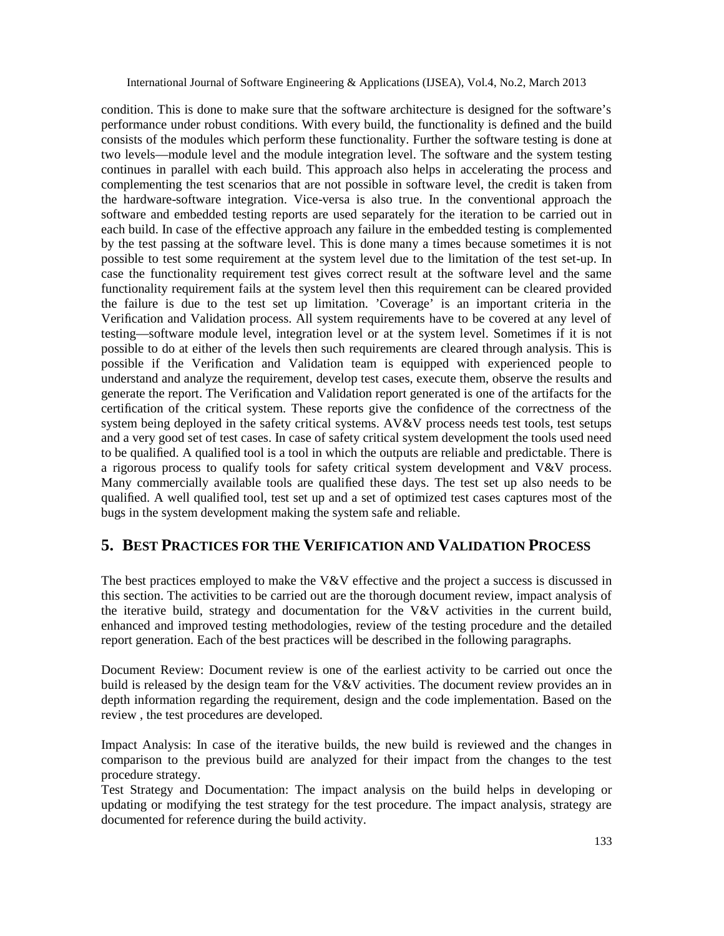condition. This is done to make sure that the software architecture is designed for the software's performance under robust conditions. With every build, the functionality is defined and the build consists of the modules which perform these functionality. Further the software testing is done at two levels—module level and the module integration level. The software and the system testing continues in parallel with each build. This approach also helps in accelerating the process and complementing the test scenarios that are not possible in software level, the credit is taken from the hardware-software integration. Vice-versa is also true. In the conventional approach the software and embedded testing reports are used separately for the iteration to be carried out in each build. In case of the effective approach any failure in the embedded testing is complemented by the test passing at the software level. This is done many a times because sometimes it is not possible to test some requirement at the system level due to the limitation of the test set-up. In case the functionality requirement test gives correct result at the software level and the same functionality requirement fails at the system level then this requirement can be cleared provided the failure is due to the test set up limitation. 'Coverage' is an important criteria in the Verification and Validation process. All system requirements have to be covered at any level of testing—software module level, integration level or at the system level. Sometimes if it is not possible to do at either of the levels then such requirements are cleared through analysis. This is possible if the Verification and Validation team is equipped with experienced people to understand and analyze the requirement, develop test cases, execute them, observe the results and generate the report. The Verification and Validation report generated is one of the artifacts for the certification of the critical system. These reports give the confidence of the correctness of the system being deployed in the safety critical systems. AV&V process needs test tools, test setups and a very good set of test cases. In case of safety critical system development the tools used need to be qualified. A qualified tool is a tool in which the outputs are reliable and predictable. There is a rigorous process to qualify tools for safety critical system development and V&V process. Many commercially available tools are qualified these days. The test set up also needs to be qualified. A well qualified tool, test set up and a set of optimized test cases captures most of the bugs in the system development making the system safe and reliable.

#### **5. BEST PRACTICES FOR THE VERIFICATION AND VALIDATION PROCESS**

The best practices employed to make the V&V effective and the project a success is discussed in this section. The activities to be carried out are the thorough document review, impact analysis of the iterative build, strategy and documentation for the V&V activities in the current build, enhanced and improved testing methodologies, review of the testing procedure and the detailed report generation. Each of the best practices will be described in the following paragraphs.

Document Review: Document review is one of the earliest activity to be carried out once the build is released by the design team for the  $V&V$  activities. The document review provides an in depth information regarding the requirement, design and the code implementation. Based on the review , the test procedures are developed.

Impact Analysis: In case of the iterative builds, the new build is reviewed and the changes in comparison to the previous build are analyzed for their impact from the changes to the test procedure strategy.

Test Strategy and Documentation: The impact analysis on the build helps in developing or updating or modifying the test strategy for the test procedure. The impact analysis, strategy are documented for reference during the build activity.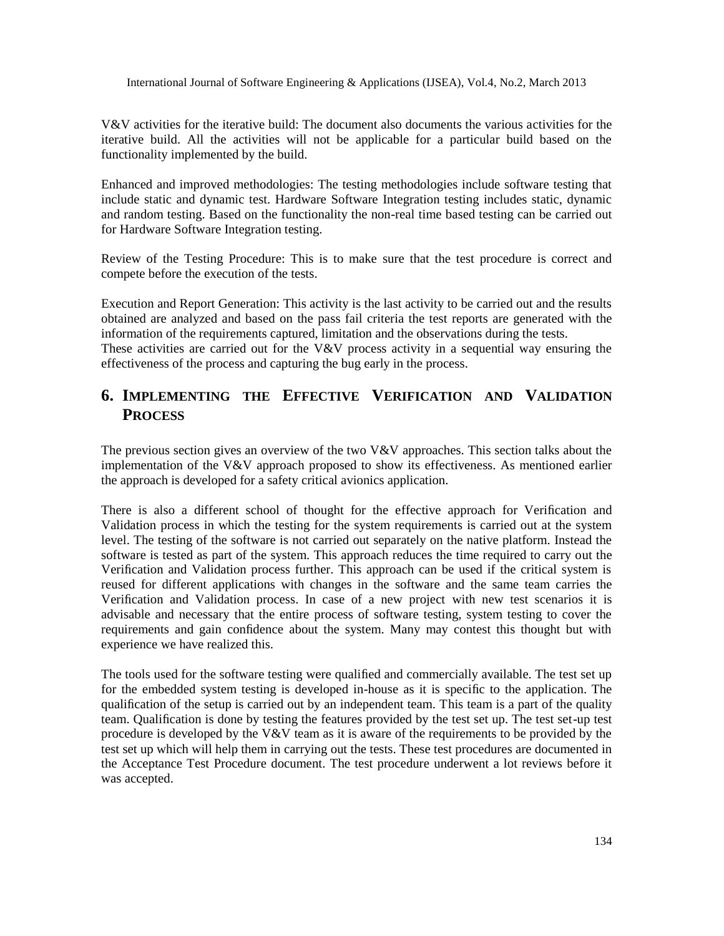V&V activities for the iterative build: The document also documents the various activities for the iterative build. All the activities will not be applicable for a particular build based on the functionality implemented by the build.

Enhanced and improved methodologies: The testing methodologies include software testing that include static and dynamic test. Hardware Software Integration testing includes static, dynamic and random testing. Based on the functionality the non-real time based testing can be carried out for Hardware Software Integration testing.

Review of the Testing Procedure: This is to make sure that the test procedure is correct and compete before the execution of the tests.

Execution and Report Generation: This activity is the last activity to be carried out and the results obtained are analyzed and based on the pass fail criteria the test reports are generated with the information of the requirements captured, limitation and the observations during the tests. These activities are carried out for the V&V process activity in a sequential way ensuring the effectiveness of the process and capturing the bug early in the process.

#### **6. IMPLEMENTING THE EFFECTIVE VERIFICATION AND VALIDATION PROCESS**

The previous section gives an overview of the two V&V approaches. This section talks about the implementation of the V&V approach proposed to show its effectiveness. As mentioned earlier the approach is developed for a safety critical avionics application.

There is also a different school of thought for the effective approach for Verification and Validation process in which the testing for the system requirements is carried out at the system level. The testing of the software is not carried out separately on the native platform. Instead the software is tested as part of the system. This approach reduces the time required to carry out the Verification and Validation process further. This approach can be used if the critical system is reused for different applications with changes in the software and the same team carries the Verification and Validation process. In case of a new project with new test scenarios it is advisable and necessary that the entire process of software testing, system testing to cover the requirements and gain confidence about the system. Many may contest this thought but with experience we have realized this.

The tools used for the software testing were qualified and commercially available. The test set up for the embedded system testing is developed in-house as it is specific to the application. The qualification of the setup is carried out by an independent team. This team is a part of the quality team. Qualification is done by testing the features provided by the test set up. The test set-up test procedure is developed by the V&V team as it is aware of the requirements to be provided by the test set up which will help them in carrying out the tests. These test procedures are documented in the Acceptance Test Procedure document. The test procedure underwent a lot reviews before it was accepted.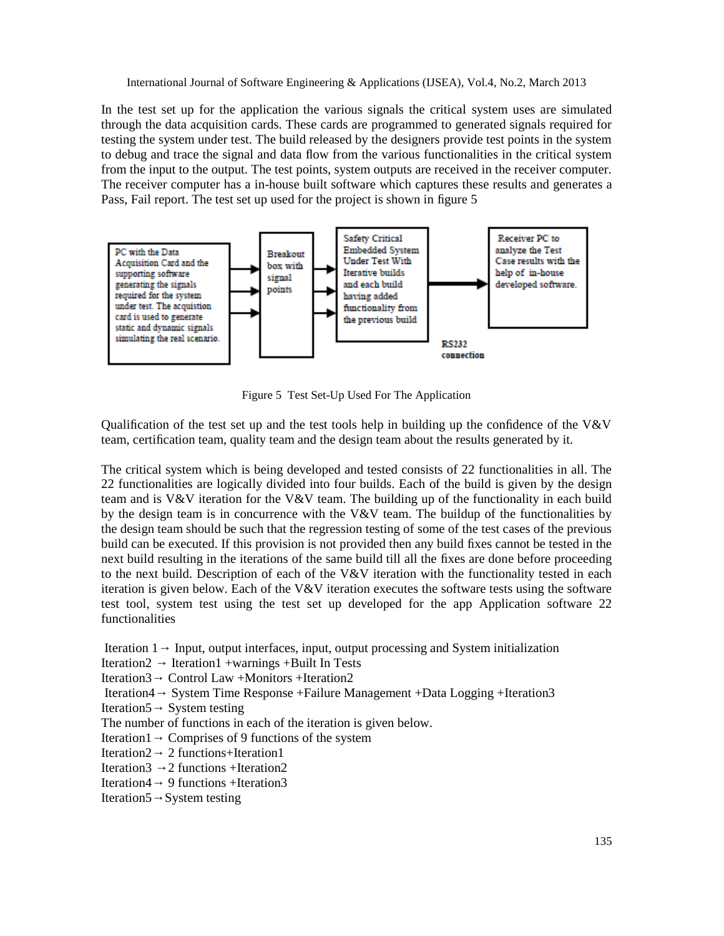In the test set up for the application the various signals the critical system uses are simulated through the data acquisition cards. These cards are programmed to generated signals required for testing the system under test. The build released by the designers provide test points in the system to debug and trace the signal and data flow from the various functionalities in the critical system from the input to the output. The test points, system outputs are received in the receiver computer. The receiver computer has a in-house built software which captures these results and generates a Pass, Fail report. The test set up used for the project is shown in figure 5



Figure 5 Test Set-Up Used For The Application

Qualification of the test set up and the test tools help in building up the confidence of the  $V\&V$ team, certification team, quality team and the design team about the results generated by it.

The critical system which is being developed and tested consists of 22 functionalities in all. The 22 functionalities are logically divided into four builds. Each of the build is given by the design team and is V&V iteration for the V&V team. The building up of the functionality in each build by the design team is in concurrence with the V&V team. The buildup of the functionalities by the design team should be such that the regression testing of some of the test cases of the previous build can be executed. If this provision is not provided then any build fixes cannot be tested in the next build resulting in the iterations of the same build till all the fixes are done before proceeding to the next build. Description of each of the V&V iteration with the functionality tested in each iteration is given below. Each of the  $V\&V$  iteration executes the software tests using the software test tool, system test using the test set up developed for the app Application software 22 functionalities

Iteration 1→ Input, output interfaces, input, output processing and System initialization

- Iteration2 Iteration1 +warnings +Built In Tests
- Iteration3 Control Law +Monitors +Iteration2
- Iteration4→ System Time Response +Failure Management +Data Logging +Iteration3
- Iteration5 System testing

The number of functions in each of the iteration is given below.

- Iteration1 Comprises of 9 functions of the system
- Iteration2 2 functions+Iteration1
- Iteration3 2 functions +Iteration2
- Iteration4 9 functions +Iteration3
- Iteration5 System testing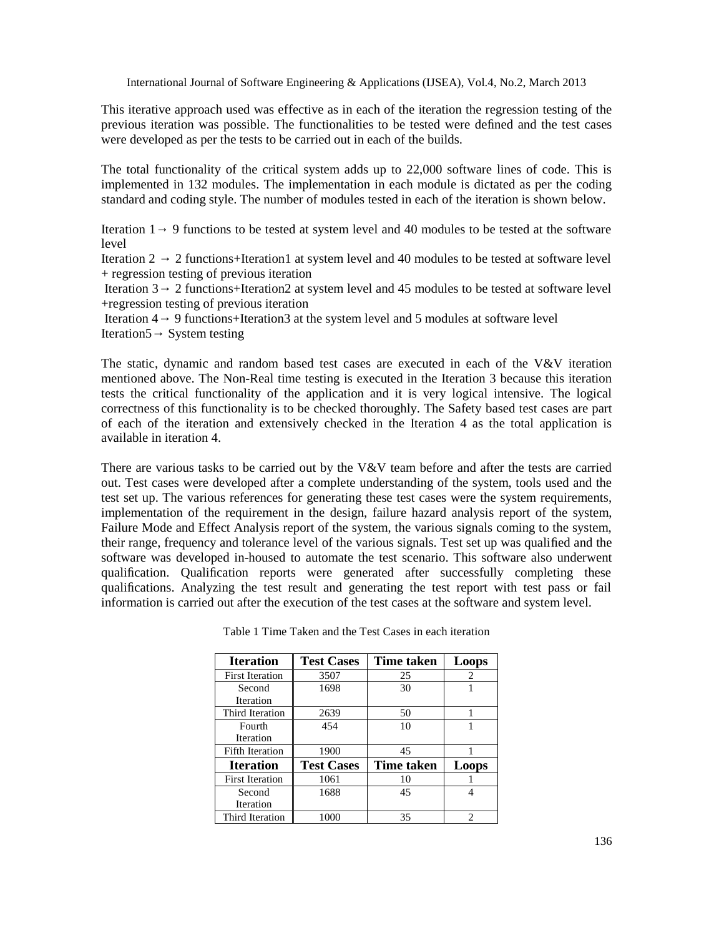This iterative approach used was effective as in each of the iteration the regression testing of the previous iteration was possible. The functionalities to be tested were defined and the test cases were developed as per the tests to be carried out in each of the builds.

The total functionality of the critical system adds up to 22,000 software lines of code. This is implemented in 132 modules. The implementation in each module is dictated as per the coding standard and coding style. The number of modules tested in each of the iteration is shown below.

Iteration 1→ 9 functions to be tested at system level and 40 modules to be tested at the software level

Iteration 2 – 2 functions+Iteration1 at system level and 40 modules to be tested at software level + regression testing of previous iteration

Iteration 3→ 2 functions+Iteration2 at system level and 45 modules to be tested at software level +regression testing of previous iteration

Iteration 4 – 9 functions+Iteration3 at the system level and 5 modules at software level

Iteration5 System testing

The static, dynamic and random based test cases are executed in each of the V&V iteration mentioned above. The Non-Real time testing is executed in the Iteration 3 because this iteration tests the critical functionality of the application and it is very logical intensive. The logical correctness of this functionality is to be checked thoroughly. The Safety based test cases are part of each of the iteration and extensively checked in the Iteration 4 as the total application is available in iteration 4.

There are various tasks to be carried out by the V&V team before and after the tests are carried out. Test cases were developed after a complete understanding of the system, tools used and the test set up. The various references for generating these test cases were the system requirements, implementation of the requirement in the design, failure hazard analysis report of the system, Failure Mode and Effect Analysis report of the system, the various signals coming to the system, their range, frequency and tolerance level of the various signals. Test set up was qualified and the software was developed in-housed to automate the test scenario. This software also underwent qualification. Qualification reports were generated after successfully completing these qualifications. Analyzing the test result and generating the test report with test pass or fail information is carried out after the execution of the test cases at the software and system level.

| Table 1 Time Taken and the Test Cases in each iteration |  |  |  |  |
|---------------------------------------------------------|--|--|--|--|
|                                                         |  |  |  |  |

| <b>Iteration</b>       | <b>Test Cases</b> | <b>Time taken</b> | Loops          |
|------------------------|-------------------|-------------------|----------------|
| <b>First Iteration</b> | 3507              | 25                | $\mathfrak{D}$ |
| Second                 | 1698              | 30                |                |
| <b>Iteration</b>       |                   |                   |                |
| Third Iteration        | 2639              | 50                |                |
| Fourth                 | 454               | 10                |                |
| <b>Iteration</b>       |                   |                   |                |
| <b>Fifth</b> Iteration | 1900              | 45                |                |
| <b>Iteration</b>       | <b>Test Cases</b> | <b>Time taken</b> | Loops          |
| <b>First Iteration</b> | 1061              | 10                |                |
|                        |                   |                   |                |
| Second                 | 1688              | 45                |                |
| Iteration              |                   |                   |                |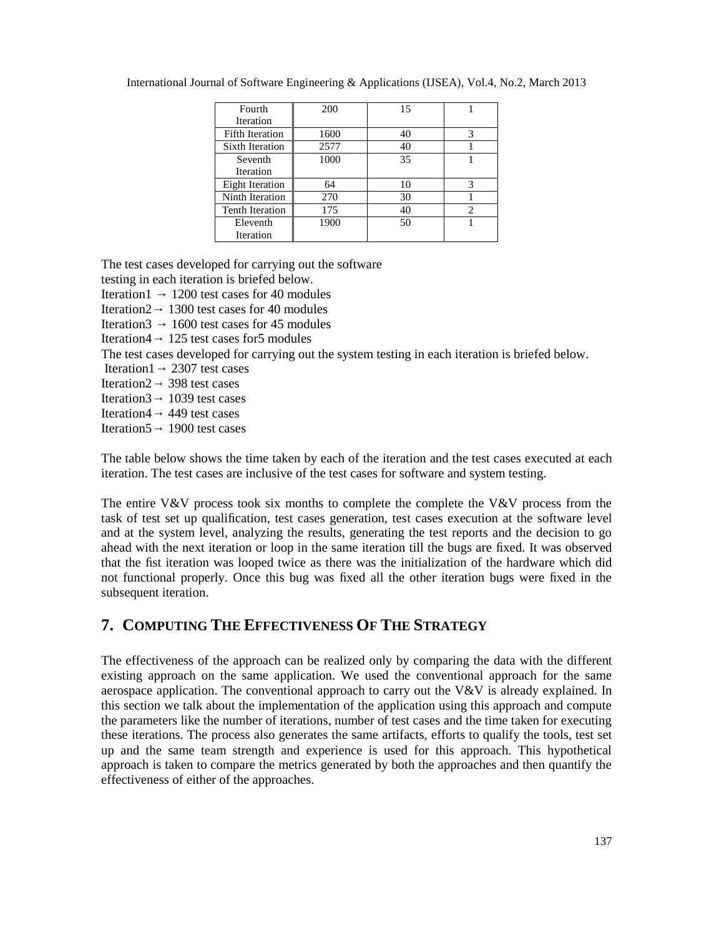| Fourth                 | 200  | 15 |   |
|------------------------|------|----|---|
| Iteration              |      |    |   |
| <b>Fifth Iteration</b> | 1600 | 40 |   |
| Sixth Iteration        | 2577 | 40 |   |
| Seventh                | 1000 | 35 |   |
| Iteration              |      |    |   |
| Eight Iteration        | 64   | 10 |   |
| Ninth Iteration        | 270  | 30 |   |
| <b>Tenth Iteration</b> | 175  | 40 | 2 |
| Eleventh               | 1900 | 50 |   |
| Iteration              |      |    |   |

International Journal of Software Engineering & Applications (IJSEA), Vol.4, No.2, March 2013

The test cases developed for carrying out the software

testing in each iteration is briefed below.

Iteration1 1200 test cases for 40 modules

Iteration<sub>2</sub> 1300 test cases for 40 modules

Iteration3 1600 test cases for 45 modules

Iteration4 125 test cases for 5 modules

The test cases developed for carrying out the system testing in each iteration is briefed below.

- Iteration1 2307 test cases
- Iteration2 398 test cases

Iteration3 1039 test cases

Iteration4 449 test cases

Iteration5 1900 test cases

The table below shows the time taken by each of the iteration and the test cases executed at each iteration. The test cases are inclusive of the test cases for software and system testing.

The entire V&V process took six months to complete the complete the V&V process from the task of test set up qualification, test cases generation, test cases execution at the software level and at the system level, analyzing the results, generating the test reports and the decision to go ahead with the next iteration or loop in the same iteration till the bugs are fixed. It was observed that the fist iteration was looped twice as there was the initialization of the hardware which did not functional properly. Once this bug was fixed all the other iteration bugs were fixed in the subsequent iteration.

#### **7. COMPUTING THE EFFECTIVENESS OF THE STRATEGY**

The effectiveness of the approach can be realized only by comparing the data with the different existing approach on the same application. We used the conventional approach for the same aerospace application. The conventional approach to carry out the  $V\&V$  is already explained. In this section we talk about the implementation of the application using this approach and compute the parameters like the number of iterations, number of test cases and the time taken for executing these iterations. The process also generates the same artifacts, efforts to qualify the tools, test set up and the same team strength and experience is used for this approach. This hypothetical approach is taken to compare the metrics generated by both the approaches and then quantify the effectiveness of either of the approaches.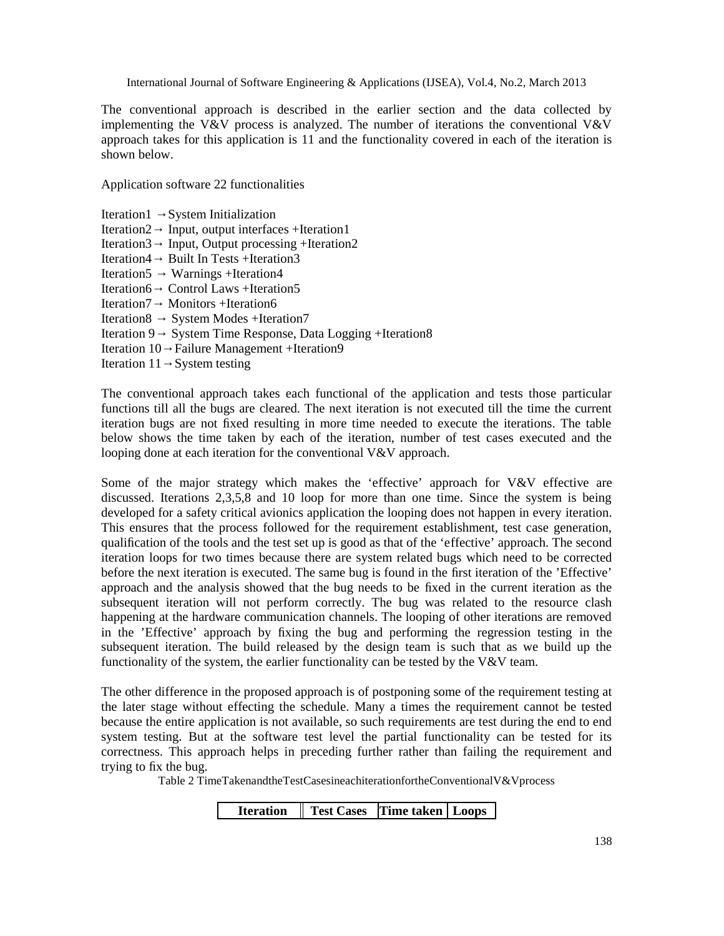The conventional approach is described in the earlier section and the data collected by implementing the V&V process is analyzed. The number of iterations the conventional V&V approach takes for this application is 11 and the functionality covered in each of the iteration is shown below.

Application software 22 functionalities

| <b>System Initialization</b>                     |
|--------------------------------------------------|
| Input, output interfaces +Iteration1             |
| Input, Output processing +Iteration2             |
| Built In Tests + Iteration 3                     |
| Warnings +Iteration4                             |
| Control Laws + Iteration 5                       |
| Monitors +Iteration6                             |
| System Modes +Iteration7                         |
| System Time Response, Data Logging + Iteration 8 |
| Failure Management +Iteration9                   |
| System testing                                   |
|                                                  |

The conventional approach takes each functional of the application and tests those particular functions till all the bugs are cleared. The next iteration is not executed till the time the current iteration bugs are not fixed resulting in more time needed to execute the iterations. The table below shows the time taken by each of the iteration, number of test cases executed and the looping done at each iteration for the conventional V&V approach.

Some of the major strategy which makes the 'effective' approach for V&V effective are discussed. Iterations 2,3,5,8 and 10 loop for more than one time. Since the system is being developed for a safety critical avionics application the looping does not happen in every iteration. This ensures that the process followed for the requirement establishment, test case generation, qualification of the tools and the test set up is good as that of the 'effective' approach. The second iteration loops for two times because there are system related bugs which need to be corrected before the next iteration is executed. The same bug is found in the first iteration of the 'Effective' approach and the analysis showed that the bug needs to be fixed in the current iteration as the subsequent iteration will not perform correctly. The bug was related to the resource clash happening at the hardware communication channels. The looping of other iterations are removed in the 'Effective' approach by fixing the bug and performing the regression testing in the subsequent iteration. The build released by the design team is such that as we build up the functionality of the system, the earlier functionality can be tested by the  $V&V$  team.

The other difference in the proposed approach is of postponing some of the requirement testing at the later stage without effecting the schedule. Many a times the requirement cannot be tested because the entire application is not available, so such requirements are test during the end to end system testing. But at the software test level the partial functionality can be tested for its correctness. This approach helps in preceding further rather than failing the requirement and trying to fix the bug.

Table 2 TimeTakenandtheTestCasesineachiterationfortheConventionalV&Vprocess

|  | <b>Iteration</b> Test Cases Time taken Loops |  |  |
|--|----------------------------------------------|--|--|
|--|----------------------------------------------|--|--|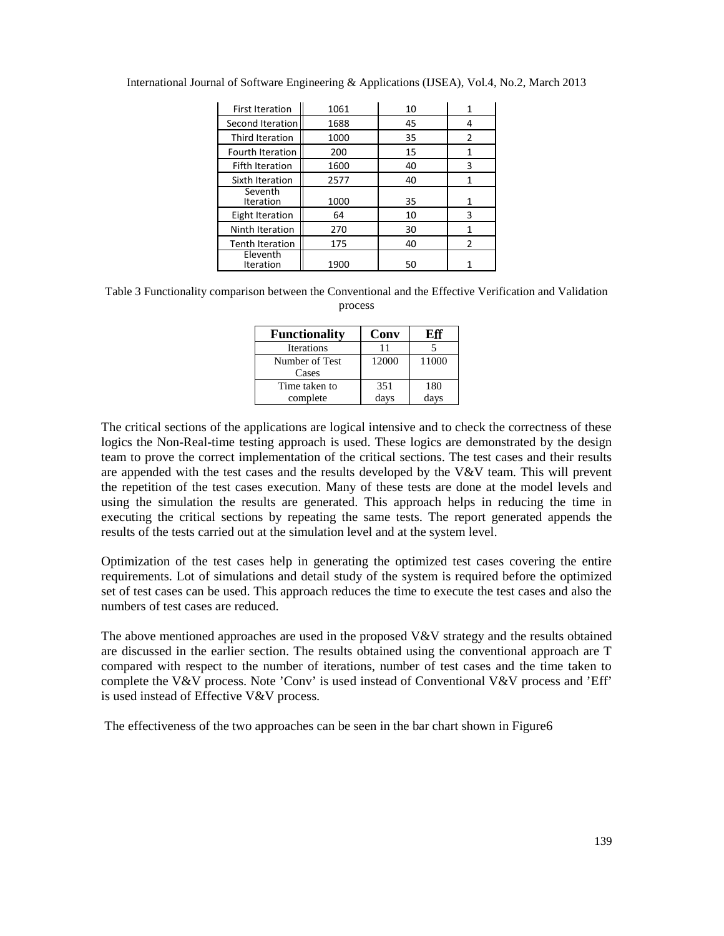| <b>First Iteration</b>       | 1061 | 10 |   |
|------------------------------|------|----|---|
| Second Iteration             | 1688 | 45 | 4 |
| Third Iteration              | 1000 | 35 | 2 |
| Fourth Iteration             | 200  | 15 |   |
| Fifth Iteration              | 1600 | 40 | 3 |
| Sixth Iteration              | 2577 | 40 |   |
| Seventh<br><b>Iteration</b>  | 1000 | 35 |   |
| Eight Iteration              | 64   | 10 | 3 |
| Ninth Iteration              | 270  | 30 |   |
| <b>Tenth Iteration</b>       | 175  | 40 | 2 |
| Eleventh<br><b>Iteration</b> | 1900 | 50 |   |

International Journal of Software Engineering & Applications (IJSEA), Vol.4, No.2, March 2013

 $\mathcal{L}_{\rm{max}}$ 

| Table 3 Functionality comparison between the Conventional and the Effective Verification and Validation |  |
|---------------------------------------------------------------------------------------------------------|--|
| process                                                                                                 |  |

| <b>Functionality</b> | Conv  | Eff   |
|----------------------|-------|-------|
| Iterations           | 11    |       |
| Number of Test       | 12000 | 11000 |
| Cases                |       |       |
| Time taken to        | 351   | 180   |
| complete             | days  | days  |

The critical sections of the applications are logical intensive and to check the correctness of these logics the Non-Real-time testing approach is used. These logics are demonstrated by the design team to prove the correct implementation of the critical sections. The test cases and their results are appended with the test cases and the results developed by the V&V team. This will prevent the repetition of the test cases execution. Many of these tests are done at the model levels and using the simulation the results are generated. This approach helps in reducing the time in executing the critical sections by repeating the same tests. The report generated appends the results of the tests carried out at the simulation level and at the system level.

Optimization of the test cases help in generating the optimized test cases covering the entire requirements. Lot of simulations and detail study of the system is required before the optimized set of test cases can be used. This approach reduces the time to execute the test cases and also the numbers of test cases are reduced.

The above mentioned approaches are used in the proposed  $V&V$  strategy and the results obtained are discussed in the earlier section. The results obtained using the conventional approach are T compared with respect to the number of iterations, number of test cases and the time taken to complete the V&V process. Note 'Conv' is used instead of Conventional V&V process and 'Eff' is used instead of Effective V&V process.

The effectiveness of the two approaches can be seen in the bar chart shown in Figure6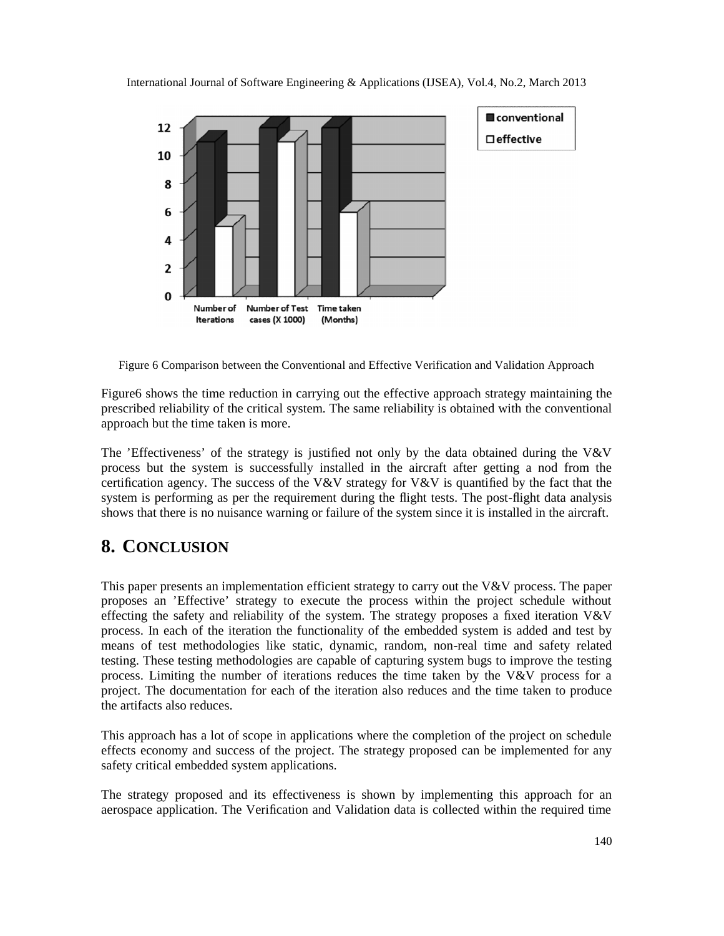

Figure 6 Comparison between the Conventional and Effective Verification and Validation Approach

Figure6 shows the time reduction in carrying out the effective approach strategy maintaining the prescribed reliability of the critical system. The same reliability is obtained with the conventional approach but the time taken is more.

The 'Effectiveness' of the strategy is justified not only by the data obtained during the V&V process but the system is successfully installed in the aircraft after getting a nod from the certification agency. The success of the V&V strategy for V&V is quantified by the fact that the system is performing as per the requirement during the flight tests. The post-flight data analysis shows that there is no nuisance warning or failure of the system since it is installed in the aircraft.

## **8. CONCLUSION**

This paper presents an implementation efficient strategy to carry out the V&V process. The paper proposes an 'Effective' strategy to execute the process within the project schedule without effecting the safety and reliability of the system. The strategy proposes a fixed iteration V&V process. In each of the iteration the functionality of the embedded system is added and test by means of test methodologies like static, dynamic, random, non-real time and safety related testing. These testing methodologies are capable of capturing system bugs to improve the testing process. Limiting the number of iterations reduces the time taken by the V&V process for a project. The documentation for each of the iteration also reduces and the time taken to produce the artifacts also reduces.

This approach has a lot of scope in applications where the completion of the project on schedule effects economy and success of the project. The strategy proposed can be implemented for any safety critical embedded system applications.

The strategy proposed and its effectiveness is shown by implementing this approach for an aerospace application. The Verification and Validation data is collected within the required time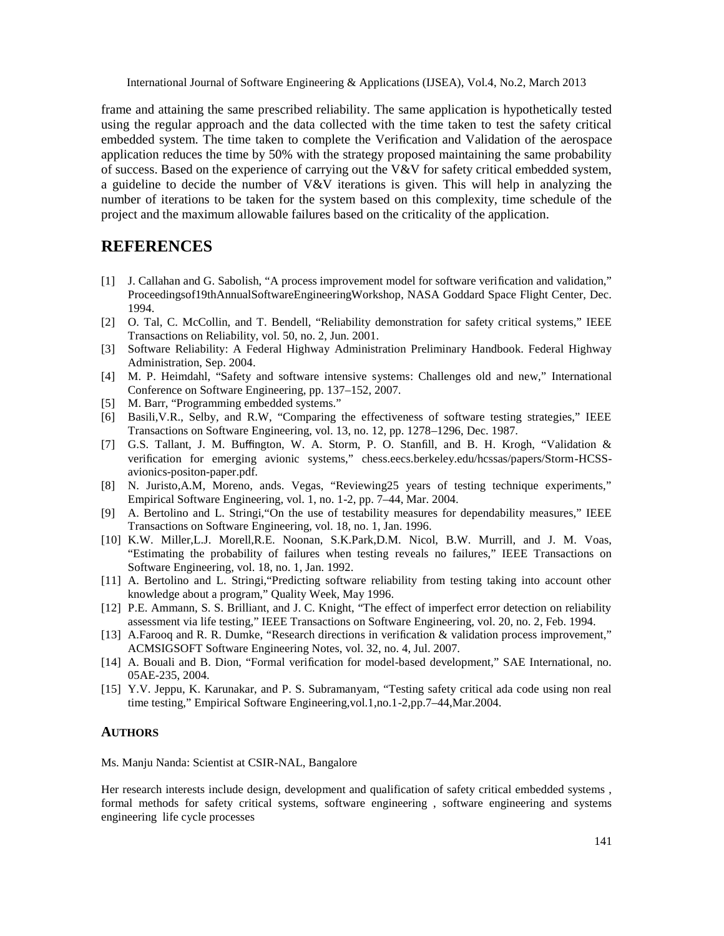frame and attaining the same prescribed reliability. The same application is hypothetically tested using the regular approach and the data collected with the time taken to test the safety critical embedded system. The time taken to complete the Verification and Validation of the aerospace application reduces the time by 50% with the strategy proposed maintaining the same probability of success. Based on the experience of carrying out the V&V for safety critical embedded system, a guideline to decide the number of  $V&V$  iterations is given. This will help in analyzing the number of iterations to be taken for the system based on this complexity, time schedule of the project and the maximum allowable failures based on the criticality of the application.

#### **REFERENCES**

- [1] J. Callahan and G. Sabolish, "A process improvement model for software verification and validation," Proceedingsof19thAnnualSoftwareEngineeringWorkshop, NASA Goddard Space Flight Center, Dec. 1994.
- [2] O. Tal, C. McCollin, and T. Bendell, "Reliability demonstration for safety critical systems," IEEE Transactions on Reliability, vol. 50, no. 2, Jun. 2001.
- [3] Software Reliability: A Federal Highway Administration Preliminary Handbook. Federal Highway Administration, Sep. 2004.
- [4] M. P. Heimdahl, "Safety and software intensive systems: Challenges old and new," International Conference on Software Engineering, pp. 137–152, 2007.
- [5] M. Barr, "Programming embedded systems."
- [6] Basili,V.R., Selby, and R.W, "Comparing the effectiveness of software testing strategies," IEEE Transactions on Software Engineering, vol. 13, no. 12, pp. 1278–1296, Dec. 1987.
- [7] G.S. Tallant, J. M. Buffington, W. A. Storm, P. O. Stanfill, and B. H. Krogh, "Validation & verification for emerging avionic systems," chess.eecs.berkeley.edu/hcssas/papers/Storm-HCSSavionics-positon-paper.pdf.
- [8] N. Juristo,A.M, Moreno, ands. Vegas, "Reviewing25 years of testing technique experiments," Empirical Software Engineering, vol. 1, no. 1-2, pp. 7–44, Mar. 2004.
- [9] A. Bertolino and L. Stringi,"On the use of testability measures for dependability measures," IEEE Transactions on Software Engineering, vol. 18, no. 1, Jan. 1996.
- [10] K.W. Miller,L.J. Morell,R.E. Noonan, S.K.Park,D.M. Nicol, B.W. Murrill, and J. M. Voas, "Estimating the probability of failures when testing reveals no failures," IEEE Transactions on Software Engineering, vol. 18, no. 1, Jan. 1992.
- [11] A. Bertolino and L. Stringi,"Predicting software reliability from testing taking into account other knowledge about a program," Quality Week, May 1996.
- [12] P.E. Ammann, S. S. Brilliant, and J. C. Knight, "The effect of imperfect error detection on reliability assessment via life testing," IEEE Transactions on Software Engineering, vol. 20, no. 2, Feb. 1994.
- [13] A.Farooq and R. R. Dumke, "Research directions in verification & validation process improvement," ACMSIGSOFT Software Engineering Notes, vol. 32, no. 4, Jul. 2007.
- [14] A. Bouali and B. Dion, "Formal verification for model-based development," SAE International, no. 05AE-235, 2004.
- [15] Y.V. Jeppu, K. Karunakar, and P. S. Subramanyam, "Testing safety critical ada code using non real time testing," Empirical Software Engineering,vol.1,no.1-2,pp.7–44,Mar.2004.

#### **AUTHORS**

Ms. Manju Nanda: Scientist at CSIR-NAL, Bangalore

Her research interests include design, development and qualification of safety critical embedded systems , formal methods for safety critical systems, software engineering , software engineering and systems engineering life cycle processes